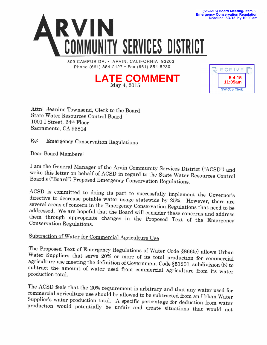

309 CAMPUS DR. • ARVIN, CALIFORNIA 93203 Phone (661) 854-2127 · Fax (661) 854-8230





**Deadline: 5/4/15 by 10:00 am**

Attn: Jeanine Townsend, Clerk to the Board State Water Resources Control Board 1001 I Street, 24th Floor Sacramento, CA 95814

Re: Emergency Conservation Regulations

Dear Board Members:

I am the General Manager of the Arvin Community Services District ("ACSD") and write this letter on behalf of ACSD in regard to the State Water Resources Control Board's ("Board") Proposed Emergency Conservation Regulation

ACSD is committed to doing its part to successfully implement the Governor's directive to decrease potable water usage statewide by 25%. However, there are several areas of concern in the Emergency Conservation Regulations

## Subtraction of Water for Commercial Agriculture Use

The Proposed Text of Emergency Regulations of Water Code §866(e) allows Urban Water Suppliers that serve 20% or more of its total production for commercial agriculture use meeting the definition of Government Code §51201,

The ACSD feels that the 20% requirement is arbitrary and that any water used for<br>commercial agriculture use should be allowed to be subtracted from an Urban Water<br>Supplier's water production total. A specific percentage fo